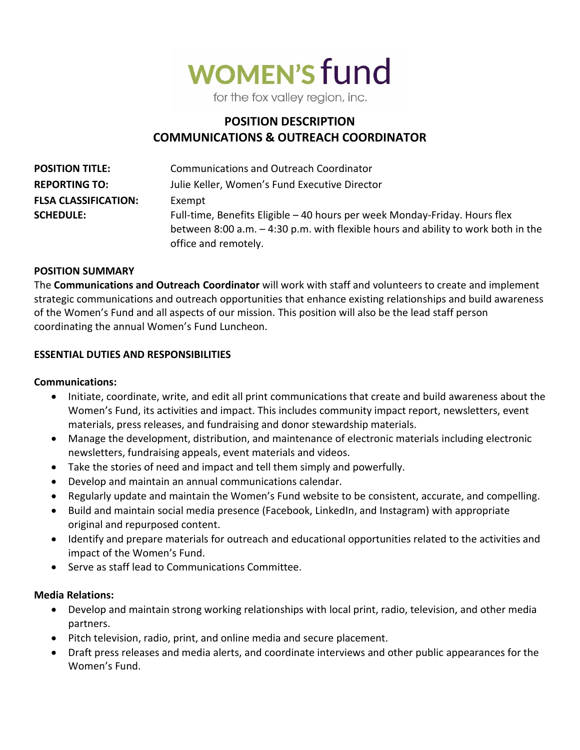

for the fox valley region, inc.

# **POSITION DESCRIPTION COMMUNICATIONS & OUTREACH COORDINATOR**

| <b>POSITION TITLE:</b>      | <b>Communications and Outreach Coordinator</b>                                                                                                                                         |
|-----------------------------|----------------------------------------------------------------------------------------------------------------------------------------------------------------------------------------|
| <b>REPORTING TO:</b>        | Julie Keller, Women's Fund Executive Director                                                                                                                                          |
| <b>FLSA CLASSIFICATION:</b> | Exempt                                                                                                                                                                                 |
| <b>SCHEDULE:</b>            | Full-time, Benefits Eligible - 40 hours per week Monday-Friday. Hours flex<br>between 8:00 a.m. -4:30 p.m. with flexible hours and ability to work both in the<br>office and remotely. |
|                             |                                                                                                                                                                                        |

## **POSITION SUMMARY**

The **Communications and Outreach Coordinator** will work with staff and volunteers to create and implement strategic communications and outreach opportunities that enhance existing relationships and build awareness of the Women's Fund and all aspects of our mission. This position will also be the lead staff person coordinating the annual Women's Fund Luncheon.

## **ESSENTIAL DUTIES AND RESPONSIBILITIES**

#### **Communications:**

- Initiate, coordinate, write, and edit all print communications that create and build awareness about the Women's Fund, its activities and impact. This includes community impact report, newsletters, event materials, press releases, and fundraising and donor stewardship materials.
- Manage the development, distribution, and maintenance of electronic materials including electronic newsletters, fundraising appeals, event materials and videos.
- Take the stories of need and impact and tell them simply and powerfully.
- Develop and maintain an annual communications calendar.
- Regularly update and maintain the Women's Fund website to be consistent, accurate, and compelling.
- Build and maintain social media presence (Facebook, LinkedIn, and Instagram) with appropriate original and repurposed content.
- Identify and prepare materials for outreach and educational opportunities related to the activities and impact of the Women's Fund.
- Serve as staff lead to Communications Committee.

#### **Media Relations:**

- Develop and maintain strong working relationships with local print, radio, television, and other media partners.
- Pitch television, radio, print, and online media and secure placement.
- Draft press releases and media alerts, and coordinate interviews and other public appearances for the Women's Fund.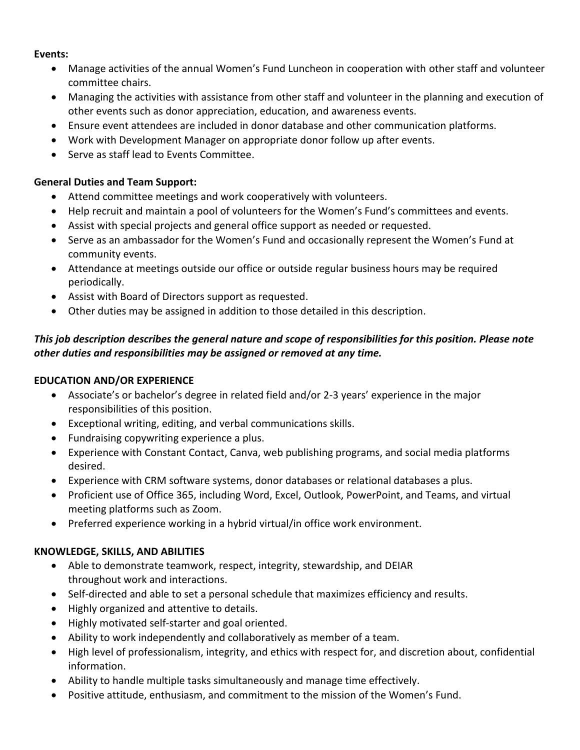#### **Events:**

- Manage activities of the annual Women's Fund Luncheon in cooperation with other staff and volunteer committee chairs.
- Managing the activities with assistance from other staff and volunteer in the planning and execution of other events such as donor appreciation, education, and awareness events.
- Ensure event attendees are included in donor database and other communication platforms.
- Work with Development Manager on appropriate donor follow up after events.
- Serve as staff lead to Events Committee.

## **General Duties and Team Support:**

- Attend committee meetings and work cooperatively with volunteers.
- Help recruit and maintain a pool of volunteers for the Women's Fund's committees and events.
- Assist with special projects and general office support as needed or requested.
- Serve as an ambassador for the Women's Fund and occasionally represent the Women's Fund at community events.
- Attendance at meetings outside our office or outside regular business hours may be required periodically.
- Assist with Board of Directors support as requested.
- Other duties may be assigned in addition to those detailed in this description.

# *This job description describes the general nature and scope of responsibilities for this position. Please note other duties and responsibilities may be assigned or removed at any time.*

# **EDUCATION AND/OR EXPERIENCE**

- Associate's or bachelor's degree in related field and/or 2-3 years' experience in the major responsibilities of this position.
- Exceptional writing, editing, and verbal communications skills.
- Fundraising copywriting experience a plus.
- Experience with Constant Contact, Canva, web publishing programs, and social media platforms desired.
- Experience with CRM software systems, donor databases or relational databases a plus.
- Proficient use of Office 365, including Word, Excel, Outlook, PowerPoint, and Teams, and virtual meeting platforms such as Zoom.
- Preferred experience working in a hybrid virtual/in office work environment.

## **KNOWLEDGE, SKILLS, AND ABILITIES**

- Able to demonstrate teamwork, respect, integrity, stewardship, and DEIAR throughout work and interactions.
- Self-directed and able to set a personal schedule that maximizes efficiency and results.
- Highly organized and attentive to details.
- Highly motivated self-starter and goal oriented.
- Ability to work independently and collaboratively as member of a team.
- High level of professionalism, integrity, and ethics with respect for, and discretion about, confidential information.
- Ability to handle multiple tasks simultaneously and manage time effectively.
- Positive attitude, enthusiasm, and commitment to the mission of the Women's Fund.